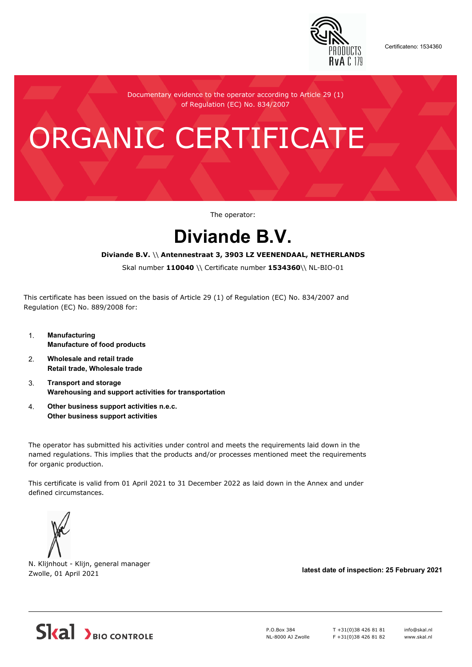

Certificateno: 1534360

Documentary evidence to the operator according to Article 29 (1) of Regulation (EC) No. 834/2007

# ORGANIC CERTIFICATE

The operator:

## **Diviande B.V.**

#### **Diviande B.V.** \\ **Antennestraat 3, 3903 LZ VEENENDAAL, NETHERLANDS**

Skal number **110040** \\ Certificate number **1534360**\\ NL-BIO-01

This certificate has been issued on the basis of Article 29 (1) of Regulation (EC) No. 834/2007 and Regulation (EC) No. 889/2008 for:

- 1. **Manufacturing Manufacture of food products**
- 2. **Wholesale and retail trade Retail trade, Wholesale trade**
- 3. **Transport and storage Warehousing and support activities for transportation**
- 4. **Other business support activities n.e.c. Other business support activities**

The operator has submitted his activities under control and meets the requirements laid down in the named regulations. This implies that the products and/or processes mentioned meet the requirements for organic production.

This certificate is valid from 01 April 2021 to 31 December 2022 as laid down in the Annex and under defined circumstances.



N. Klijnhout - Klijn, general manager Zwolle, 01 April 2021 **latest date of inspection: 25 February 2021**



P.O.Box 384 NL-8000 AJ Zwolle T +31(0)38 426 81 81 F +31(0)38 426 81 82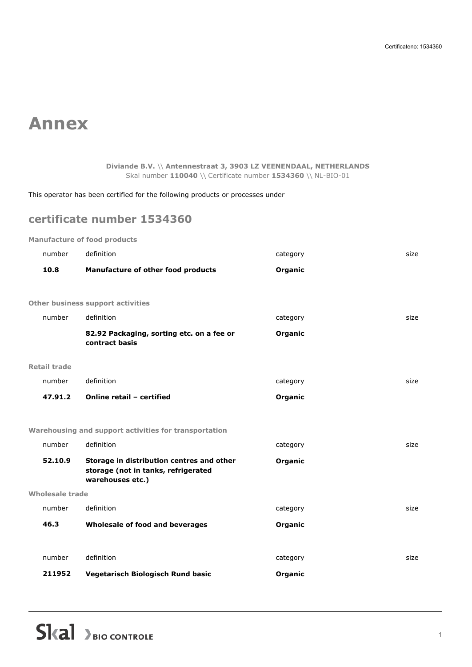## **Annex**

**Diviande B.V.** \\ **Antennestraat 3, 3903 LZ VEENENDAAL, NETHERLANDS** Skal number **110040** \\ Certificate number **1534360** \\ NL-BIO-01

This operator has been certified for the following products or processes under

### **certificate number 1534360**

**Manufacture of food products**

| number                 | definition                                                                                           | category | size |
|------------------------|------------------------------------------------------------------------------------------------------|----------|------|
| 10.8                   | Manufacture of other food products                                                                   | Organic  |      |
|                        |                                                                                                      |          |      |
|                        | <b>Other business support activities</b>                                                             |          |      |
| number                 | definition                                                                                           | category | size |
|                        | 82.92 Packaging, sorting etc. on a fee or<br>contract basis                                          | Organic  |      |
| <b>Retail trade</b>    |                                                                                                      |          |      |
| number                 | definition                                                                                           | category | size |
| 47.91.2                | Online retail - certified                                                                            | Organic  |      |
|                        |                                                                                                      |          |      |
|                        | Warehousing and support activities for transportation                                                |          |      |
| number                 | definition                                                                                           | category | size |
| 52.10.9                | Storage in distribution centres and other<br>storage (not in tanks, refrigerated<br>warehouses etc.) | Organic  |      |
| <b>Wholesale trade</b> |                                                                                                      |          |      |
| number                 | definition                                                                                           | category | size |
| 46.3                   | Wholesale of food and beverages                                                                      | Organic  |      |
|                        |                                                                                                      |          |      |
| number                 | definition                                                                                           | category | size |
| 211952                 | Vegetarisch Biologisch Rund basic                                                                    | Organic  |      |